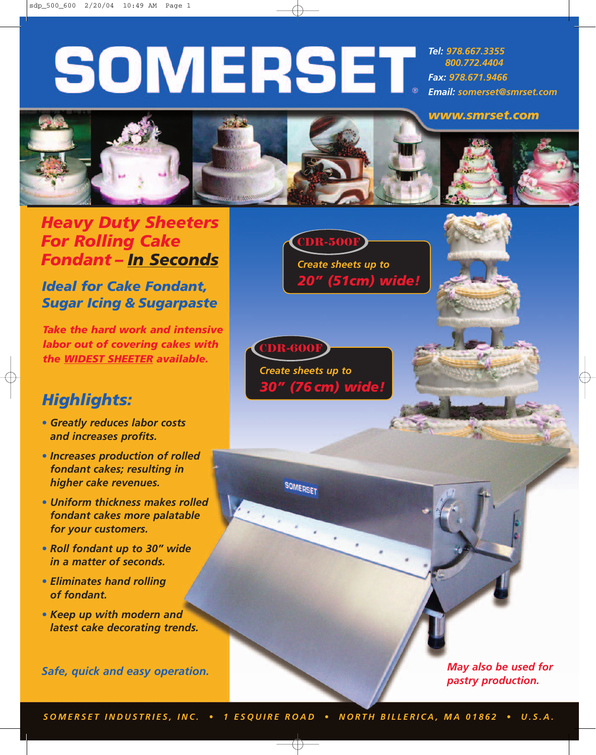# **SOMERSET**

*Tel: 978.667.3355 800.772.4404 Fax: 978.671.9466 Email: somerset@smrset.com*



## *Heavy Duty Sheeters For Rolling Cake Fondant – In Seconds*

*Ideal for Cake Fondant, Sugar Icing & Sugarpaste*

*Take the hard work and intensive labor out of covering cakes with the WIDEST SHEETER available.*

## *Highlights:*

- *• Greatly reduces labor costs and increases profits.*
- *• Increases production of rolled fondant cakes; resulting in higher cake revenues.*
- *• Uniform thickness makes rolled fondant cakes more palatable for your customers.*
- *• Roll fondant up to 30" wide in a matter of seconds.*
- *• Eliminates hand rolling of fondant.*
- *• Keep up with modern and latest cake decorating trends.*

*Safe, quick and easy operation.*

*20" (51cm) wide!* **CDR-500F** *Create sheets up to*

*30" (76 cm) wide!* **CDR-600** *Create sheets up to*

SOMERSET

*May also be used for pastry production.*